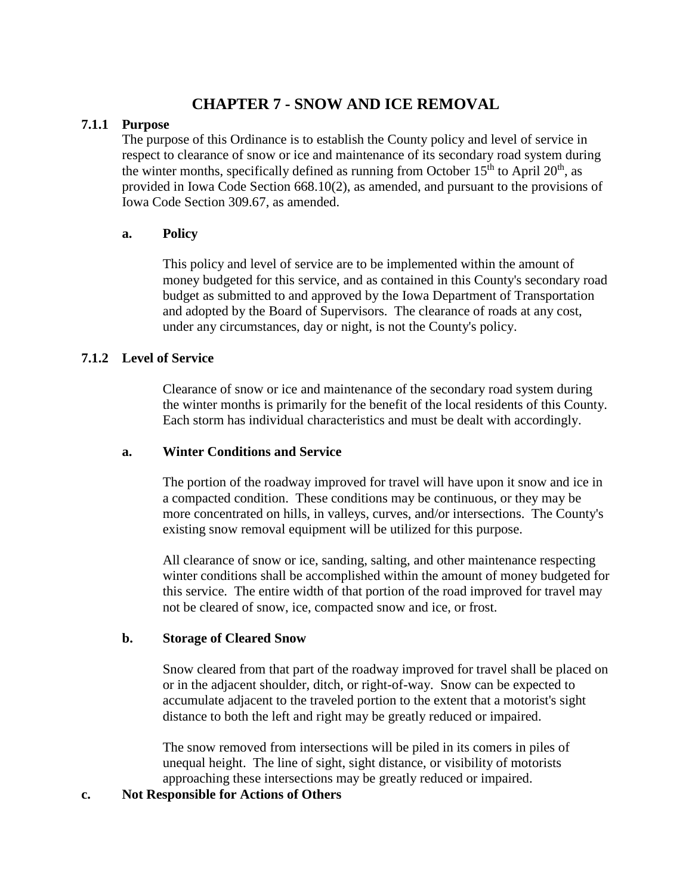# **CHAPTER 7 - SNOW AND ICE REMOVAL**

## **7.1.1 Purpose**

The purpose of this Ordinance is to establish the County policy and level of service in respect to clearance of snow or ice and maintenance of its secondary road system during the winter months, specifically defined as running from October  $15<sup>th</sup>$  to April  $20<sup>th</sup>$ , as provided in Iowa Code Section 668.10(2), as amended, and pursuant to the provisions of Iowa Code Section 309.67, as amended.

# **a. Policy**

This policy and level of service are to be implemented within the amount of money budgeted for this service, and as contained in this County's secondary road budget as submitted to and approved by the Iowa Department of Transportation and adopted by the Board of Supervisors. The clearance of roads at any cost, under any circumstances, day or night, is not the County's policy.

# **7.1.2 Level of Service**

Clearance of snow or ice and maintenance of the secondary road system during the winter months is primarily for the benefit of the local residents of this County. Each storm has individual characteristics and must be dealt with accordingly.

## **a. Winter Conditions and Service**

The portion of the roadway improved for travel will have upon it snow and ice in a compacted condition. These conditions may be continuous, or they may be more concentrated on hills, in valleys, curves, and/or intersections. The County's existing snow removal equipment will be utilized for this purpose.

All clearance of snow or ice, sanding, salting, and other maintenance respecting winter conditions shall be accomplished within the amount of money budgeted for this service. The entire width of that portion of the road improved for travel may not be cleared of snow, ice, compacted snow and ice, or frost.

## **b. Storage of Cleared Snow**

Snow cleared from that part of the roadway improved for travel shall be placed on or in the adjacent shoulder, ditch, or right-of-way. Snow can be expected to accumulate adjacent to the traveled portion to the extent that a motorist's sight distance to both the left and right may be greatly reduced or impaired.

The snow removed from intersections will be piled in its comers in piles of unequal height. The line of sight, sight distance, or visibility of motorists approaching these intersections may be greatly reduced or impaired.

## **c. Not Responsible for Actions of Others**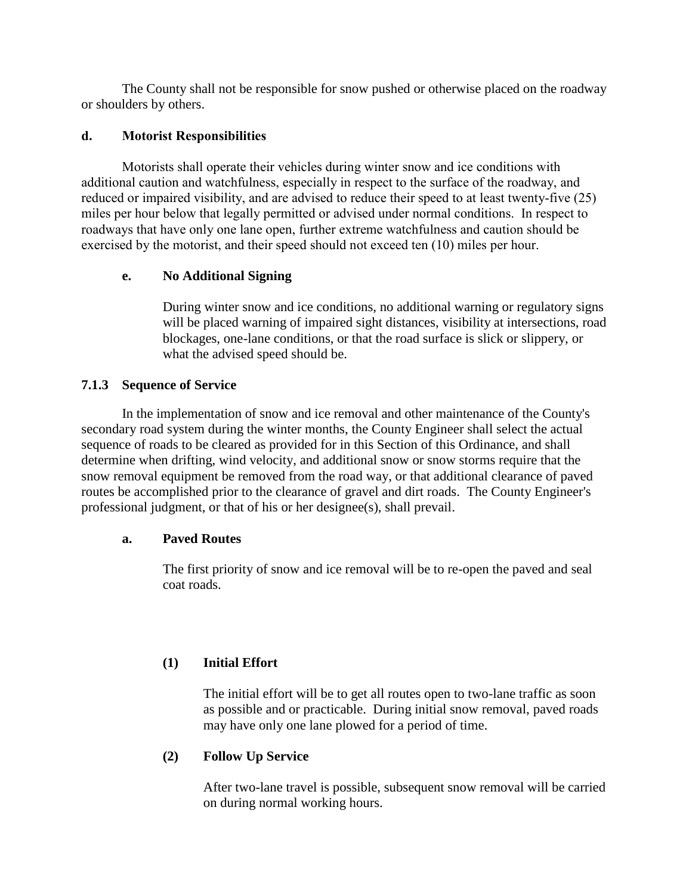The County shall not be responsible for snow pushed or otherwise placed on the roadway or shoulders by others.

## **d. Motorist Responsibilities**

Motorists shall operate their vehicles during winter snow and ice conditions with additional caution and watchfulness, especially in respect to the surface of the roadway, and reduced or impaired visibility, and are advised to reduce their speed to at least twenty-five (25) miles per hour below that legally permitted or advised under normal conditions. In respect to roadways that have only one lane open, further extreme watchfulness and caution should be exercised by the motorist, and their speed should not exceed ten (10) miles per hour.

## **e. No Additional Signing**

During winter snow and ice conditions, no additional warning or regulatory signs will be placed warning of impaired sight distances, visibility at intersections, road blockages, one-lane conditions, or that the road surface is slick or slippery, or what the advised speed should be.

## **7.1.3 Sequence of Service**

In the implementation of snow and ice removal and other maintenance of the County's secondary road system during the winter months, the County Engineer shall select the actual sequence of roads to be cleared as provided for in this Section of this Ordinance, and shall determine when drifting, wind velocity, and additional snow or snow storms require that the snow removal equipment be removed from the road way, or that additional clearance of paved routes be accomplished prior to the clearance of gravel and dirt roads. The County Engineer's professional judgment, or that of his or her designee(s), shall prevail.

### **a. Paved Routes**

The first priority of snow and ice removal will be to re-open the paved and seal coat roads.

## **(1) Initial Effort**

The initial effort will be to get all routes open to two-lane traffic as soon as possible and or practicable. During initial snow removal, paved roads may have only one lane plowed for a period of time.

## **(2) Follow Up Service**

After two-lane travel is possible, subsequent snow removal will be carried on during normal working hours.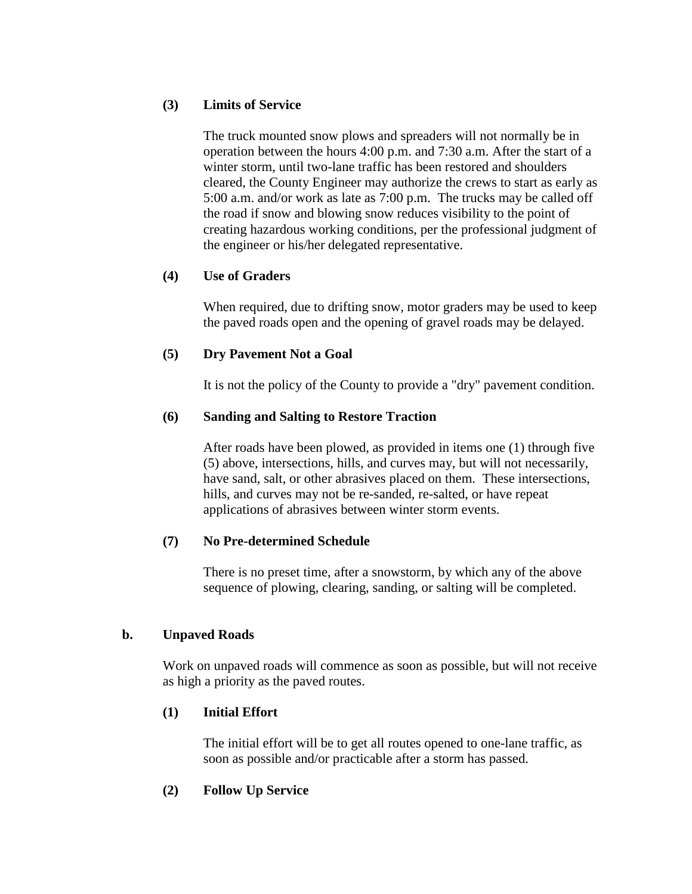## **(3) Limits of Service**

The truck mounted snow plows and spreaders will not normally be in operation between the hours 4:00 p.m. and 7:30 a.m. After the start of a winter storm, until two-lane traffic has been restored and shoulders cleared, the County Engineer may authorize the crews to start as early as 5:00 a.m. and/or work as late as 7:00 p.m. The trucks may be called off the road if snow and blowing snow reduces visibility to the point of creating hazardous working conditions, per the professional judgment of the engineer or his/her delegated representative.

## **(4) Use of Graders**

When required, due to drifting snow, motor graders may be used to keep the paved roads open and the opening of gravel roads may be delayed.

## **(5) Dry Pavement Not a Goal**

It is not the policy of the County to provide a "dry" pavement condition.

## **(6) Sanding and Salting to Restore Traction**

After roads have been plowed, as provided in items one (1) through five (5) above, intersections, hills, and curves may, but will not necessarily, have sand, salt, or other abrasives placed on them. These intersections, hills, and curves may not be re-sanded, re-salted, or have repeat applications of abrasives between winter storm events.

## **(7) No Pre-determined Schedule**

There is no preset time, after a snowstorm, by which any of the above sequence of plowing, clearing, sanding, or salting will be completed.

## **b. Unpaved Roads**

Work on unpaved roads will commence as soon as possible, but will not receive as high a priority as the paved routes.

## **(1) Initial Effort**

The initial effort will be to get all routes opened to one-lane traffic, as soon as possible and/or practicable after a storm has passed.

## **(2) Follow Up Service**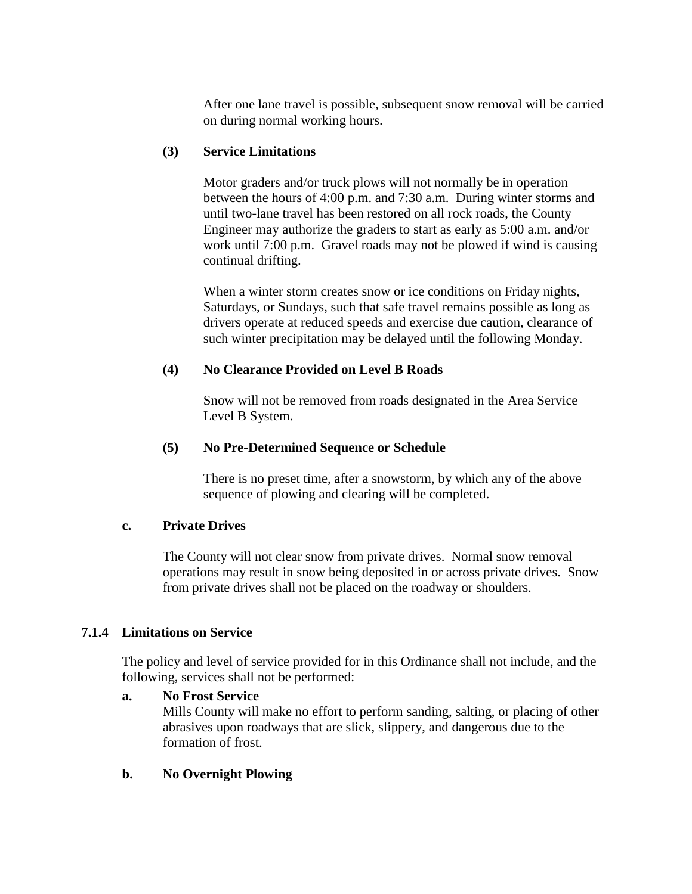After one lane travel is possible, subsequent snow removal will be carried on during normal working hours.

## **(3) Service Limitations**

Motor graders and/or truck plows will not normally be in operation between the hours of 4:00 p.m. and 7:30 a.m. During winter storms and until two-lane travel has been restored on all rock roads, the County Engineer may authorize the graders to start as early as 5:00 a.m. and/or work until 7:00 p.m. Gravel roads may not be plowed if wind is causing continual drifting.

When a winter storm creates snow or ice conditions on Friday nights, Saturdays, or Sundays, such that safe travel remains possible as long as drivers operate at reduced speeds and exercise due caution, clearance of such winter precipitation may be delayed until the following Monday.

## **(4) No Clearance Provided on Level B Roads**

Snow will not be removed from roads designated in the Area Service Level B System.

## **(5) No Pre-Determined Sequence or Schedule**

There is no preset time, after a snowstorm, by which any of the above sequence of plowing and clearing will be completed.

### **c. Private Drives**

The County will not clear snow from private drives. Normal snow removal operations may result in snow being deposited in or across private drives. Snow from private drives shall not be placed on the roadway or shoulders.

## **7.1.4 Limitations on Service**

The policy and level of service provided for in this Ordinance shall not include, and the following, services shall not be performed:

### **a. No Frost Service**

Mills County will make no effort to perform sanding, salting, or placing of other abrasives upon roadways that are slick, slippery, and dangerous due to the formation of frost.

## **b. No Overnight Plowing**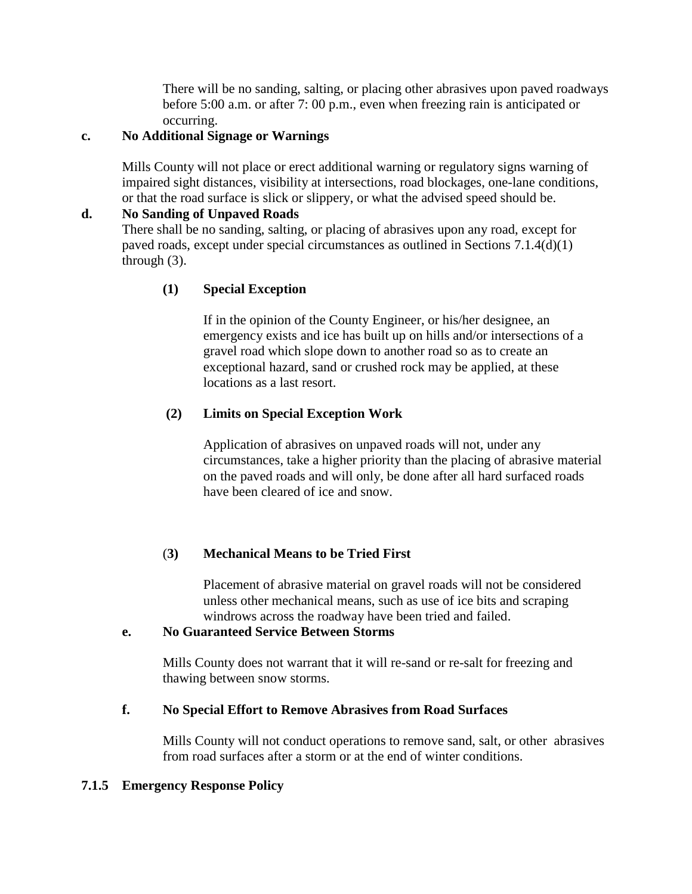There will be no sanding, salting, or placing other abrasives upon paved roadways before 5:00 a.m. or after 7: 00 p.m., even when freezing rain is anticipated or occurring.

## **c. No Additional Signage or Warnings**

Mills County will not place or erect additional warning or regulatory signs warning of impaired sight distances, visibility at intersections, road blockages, one-lane conditions, or that the road surface is slick or slippery, or what the advised speed should be.

## **d. No Sanding of Unpaved Roads**

There shall be no sanding, salting, or placing of abrasives upon any road, except for paved roads, except under special circumstances as outlined in Sections 7.1.4(d)(1) through (3).

## **(1) Special Exception**

If in the opinion of the County Engineer, or his/her designee, an emergency exists and ice has built up on hills and/or intersections of a gravel road which slope down to another road so as to create an exceptional hazard, sand or crushed rock may be applied, at these locations as a last resort.

## **(2) Limits on Special Exception Work**

Application of abrasives on unpaved roads will not, under any circumstances, take a higher priority than the placing of abrasive material on the paved roads and will only, be done after all hard surfaced roads have been cleared of ice and snow.

## (**3) Mechanical Means to be Tried First**

Placement of abrasive material on gravel roads will not be considered unless other mechanical means, such as use of ice bits and scraping windrows across the roadway have been tried and failed.

## **e. No Guaranteed Service Between Storms**

Mills County does not warrant that it will re-sand or re-salt for freezing and thawing between snow storms.

## **f. No Special Effort to Remove Abrasives from Road Surfaces**

Mills County will not conduct operations to remove sand, salt, or other abrasives from road surfaces after a storm or at the end of winter conditions.

## **7.1.5 Emergency Response Policy**